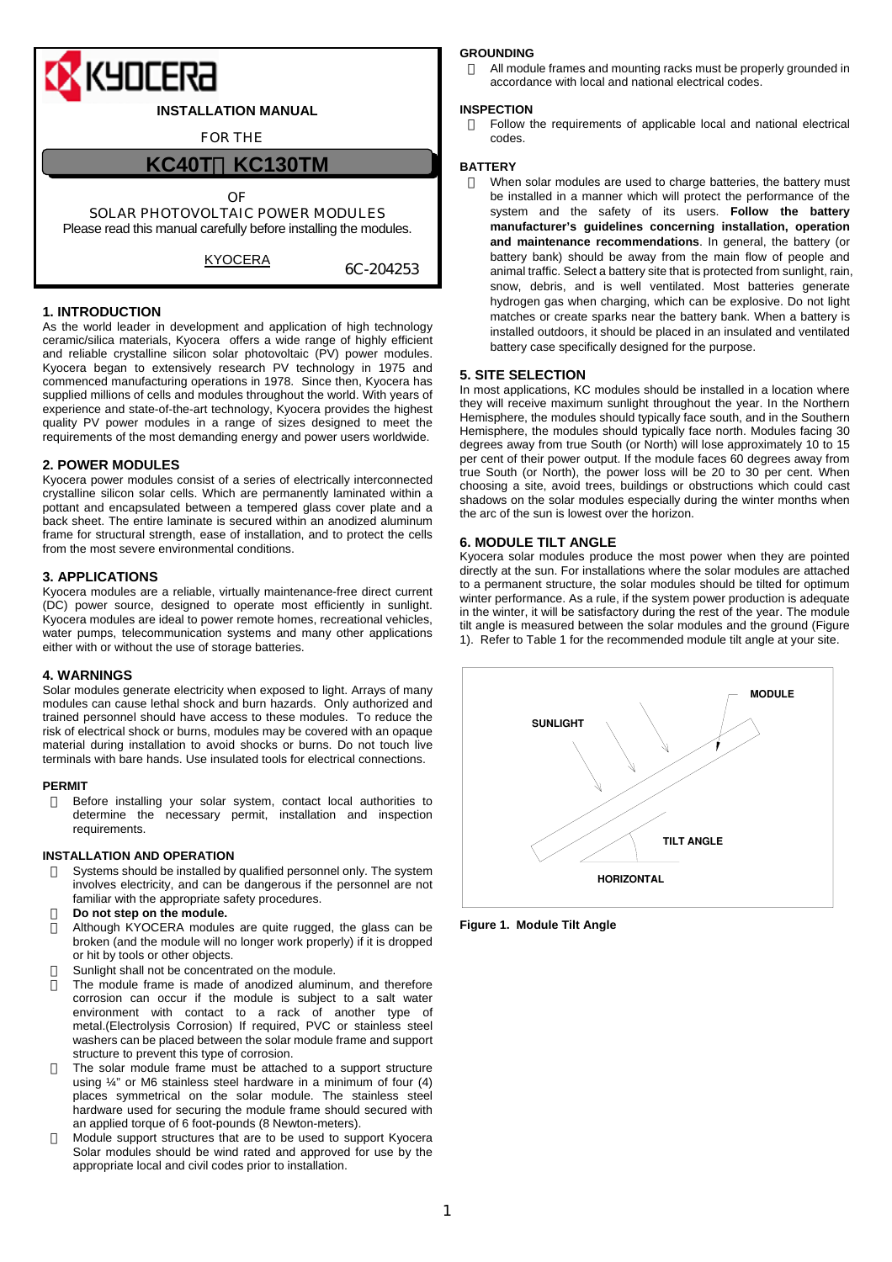

# **1. INTRODUCTION**

As the world leader in development and application of high technology ceramic/silica materials, Kyocera offers a wide range of highly efficient and reliable crystalline silicon solar photovoltaic (PV) power modules. Kyocera began to extensively research PV technology in 1975 and commenced manufacturing operations in 1978. Since then, Kyocera has supplied millions of cells and modules throughout the world. With years of experience and state-of-the-art technology, Kyocera provides the highest quality PV power modules in a range of sizes designed to meet the requirements of the most demanding energy and power users worldwide.

## **2. POWER MODULES**

Kyocera power modules consist of a series of electrically interconnected crystalline silicon solar cells. Which are permanently laminated within a pottant and encapsulated between a tempered glass cover plate and a back sheet. The entire laminate is secured within an anodized aluminum frame for structural strength, ease of installation, and to protect the cells from the most severe environmental conditions.

## **3. APPLICATIONS**

Kyocera modules are a reliable, virtually maintenance-free direct current (DC) power source, designed to operate most efficiently in sunlight. Kyocera modules are ideal to power remote homes, recreational vehicles, water pumps, telecommunication systems and many other applications either with or without the use of storage batteries.

# **4. WARNINGS**

Solar modules generate electricity when exposed to light. Arrays of many modules can cause lethal shock and burn hazards. Only authorized and trained personnel should have access to these modules. To reduce the risk of electrical shock or burns, modules may be covered with an opaque material during installation to avoid shocks or burns. Do not touch live terminals with bare hands. Use insulated tools for electrical connections.

### **PERMIT**

Before installing your solar system, contact local authorities to determine the necessary permit, installation and inspection requirements.

## **INSTALLATION AND OPERATION**

Systems should be installed by qualified personnel only. The system involves electricity, and can be dangerous if the personnel are not familiar with the appropriate safety procedures.

# Do not step on the module.

Although KYOCERA modules are quite rugged, the glass can be broken (and the module will no longer work properly) if it is dropped or hit by tools or other objects.

Sunlight shall not be concentrated on the module.

The module frame is made of anodized aluminum, and therefore corrosion can occur if the module is subject to a salt water environment with contact to a rack of another type of metal.(Electrolysis Corrosion) If required, PVC or stainless steel washers can be placed between the solar module frame and support structure to prevent this type of corrosion.

The solar module frame must be attached to a support structure using  $\frac{1}{4}$ " or M6 stainless steel hardware in a minimum of four (4) places symmetrical on the solar module. The stainless steel hardware used for securing the module frame should secured with an applied torque of 6 foot-pounds (8 Newton-meters).

Module support structures that are to be used to support Kyocera Solar modules should be wind rated and approved for use by the appropriate local and civil codes prior to installation.

### **GROUNDING**

All module frames and mounting racks must be properly grounded in accordance with local and national electrical codes.

#### **INSPECTION**

Follow the requirements of applicable local and national electrical codes.

### **BATTERY**

When solar modules are used to charge batteries, the battery must be installed in a manner which will protect the performance of the system and the safety of its users. **Follow the battery manufacturer's guidelines concerning installation, operation and maintenance recommendations**. In general, the battery (or battery bank) should be away from the main flow of people and animal traffic. Select a battery site that is protected from sunlight, rain, snow, debris, and is well ventilated. Most batteries generate hydrogen gas when charging, which can be explosive. Do not light matches or create sparks near the battery bank. When a battery is installed outdoors, it should be placed in an insulated and ventilated battery case specifically designed for the purpose.

## **5. SITE SELECTION**

In most applications, KC modules should be installed in a location where they will receive maximum sunlight throughout the year. In the Northern Hemisphere, the modules should typically face south, and in the Southern Hemisphere, the modules should typically face north. Modules facing 30 degrees away from true South (or North) will lose approximately 10 to 15 per cent of their power output. If the module faces 60 degrees away from true South (or North), the power loss will be 20 to 30 per cent. When choosing a site, avoid trees, buildings or obstructions which could cast shadows on the solar modules especially during the winter months when the arc of the sun is lowest over the horizon.

## **6. MODULE TILT ANGLE**

Kyocera solar modules produce the most power when they are pointed directly at the sun. For installations where the solar modules are attached to a permanent structure, the solar modules should be tilted for optimum winter performance. As a rule, if the system power production is adequate in the winter, it will be satisfactory during the rest of the year. The module tilt angle is measured between the solar modules and the ground (Figure 1). Refer to Table 1 for the recommended module tilt angle at your site.



**Figure 1. Module Tilt Angle**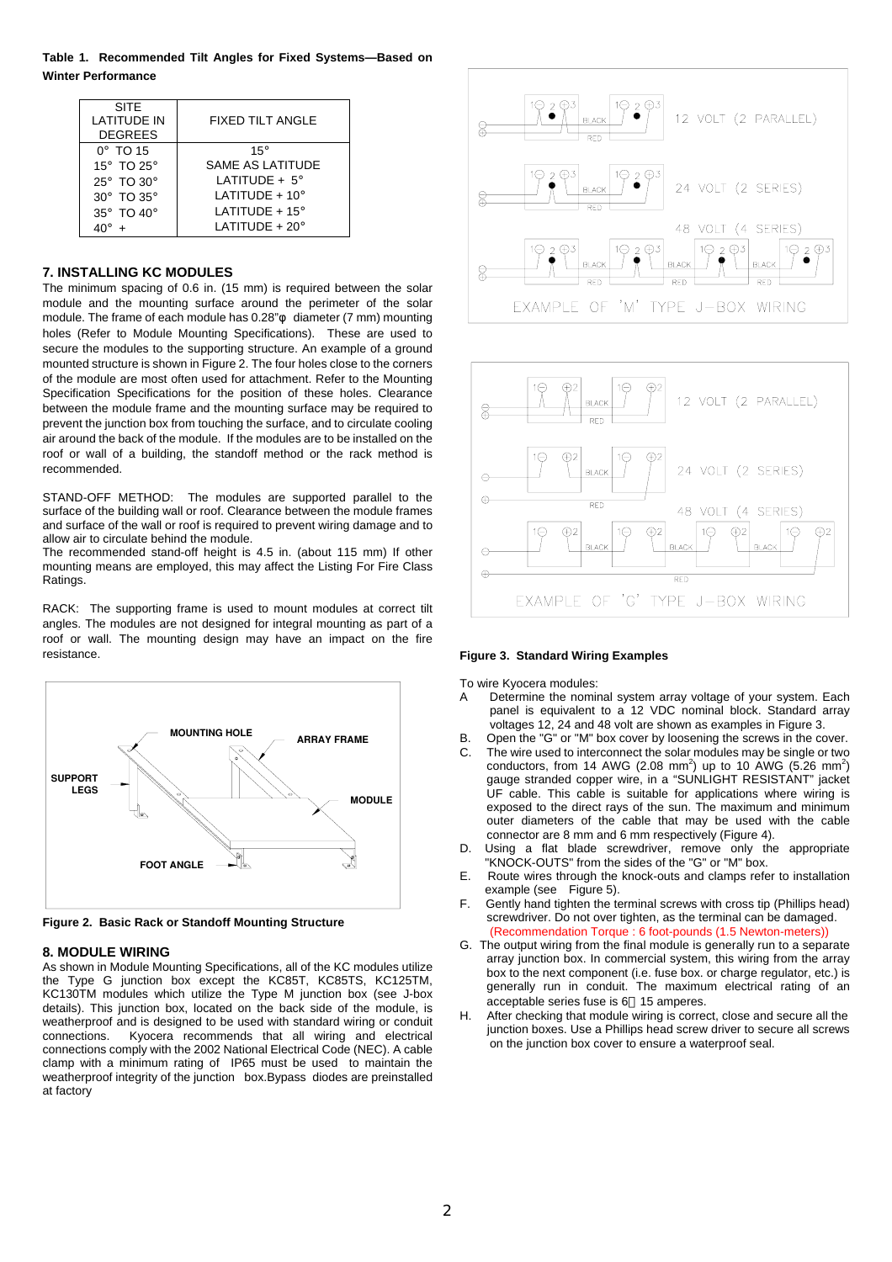**Table 1. Recommended Tilt Angles for Fixed Systems—Based on Winter Performance** 

| <b>SITE</b><br><b>LATITUDE IN</b><br><b>DEGREES</b> | FIXED TILT ANGLE            |
|-----------------------------------------------------|-----------------------------|
| $0^\circ$ TO 15                                     | $15^\circ$                  |
| 15° TO 25°                                          | <b>SAME AS LATITUDE</b>     |
| 25° TO 30°                                          | LATITUDE $+ 5^\circ$        |
| 30° TO 35°                                          | LATITUDE $+10^\circ$        |
| 35° TO 40°                                          | $LAT$ ITUDE + 15°           |
|                                                     | $LAT$ ITUDE + 20 $^{\circ}$ |

# **7. INSTALLING KC MODULES**

The minimum spacing of 0.6 in. (15 mm) is required between the solar module and the mounting surface around the perimeter of the solar module. The frame of each module has 0.28" diameter (7 mm) mounting holes (Refer to Module Mounting Specifications). These are used to secure the modules to the supporting structure. An example of a ground mounted structure is shown in Figure 2. The four holes close to the corners of the module are most often used for attachment. Refer to the Mounting Specification Specifications for the position of these holes. Clearance between the module frame and the mounting surface may be required to prevent the junction box from touching the surface, and to circulate cooling air around the back of the module. If the modules are to be installed on the roof or wall of a building, the standoff method or the rack method is recommended.

STAND-OFF METHOD: The modules are supported parallel to the surface of the building wall or roof. Clearance between the module frames and surface of the wall or roof is required to prevent wiring damage and to allow air to circulate behind the module.

The recommended stand-off height is 4.5 in. (about 115 mm) If other mounting means are employed, this may affect the Listing For Fire Class Ratings.

RACK: The supporting frame is used to mount modules at correct tilt angles. The modules are not designed for integral mounting as part of a roof or wall. The mounting design may have an impact on the fire resistance.



**Figure 2. Basic Rack or Standoff Mounting Structure**

### **8. MODULE WIRING**

As shown in Module Mounting Specifications, all of the KC modules utilize the Type G junction box except the KC85T, KC85TS, KC125TM, KC130TM modules which utilize the Type M junction box (see J-box details). This junction box, located on the back side of the module, is weatherproof and is designed to be used with standard wiring or conduit connections. Kyocera recommends that all wiring and electrical connections comply with the 2002 National Electrical Code (NEC). A cable clamp with a minimum rating of IP65 must be used to maintain the weatherproof integrity of the junction box.Bypass diodes are preinstalled at factory





#### **Figure 3. Standard Wiring Examples**

To wire Kyocera modules:

- Determine the nominal system array voltage of your system. Each panel is equivalent to a 12 VDC nominal block. Standard array voltages 12, 24 and 48 volt are shown as examples in Figure 3.
- B. Open the "G" or "M" box cover by loosening the screws in the cover.
- C. The wire used to interconnect the solar modules may be single or two conductors, from 14 AWG (2.08 mm<sup>2</sup>) up to 10 AWG (5.26 mm<sup>2</sup>) gauge stranded copper wire, in a "SUNLIGHT RESISTANT" jacket UF cable. This cable is suitable for applications where wiring is exposed to the direct rays of the sun. The maximum and minimum outer diameters of the cable that may be used with the cable connector are 8 mm and 6 mm respectively (Figure 4).
- D. Using a flat blade screwdriver, remove only the appropriate "KNOCK-OUTS" from the sides of the "G" or "M" box.
- E. Route wires through the knock-outs and clamps refer to installation example (see Figure 5).
- F. Gently hand tighten the terminal screws with cross tip (Phillips head) screwdriver. Do not over tighten, as the terminal can be damaged. (Recommendation Torque : 6 foot-pounds (1.5 Newton-meters))
- G. The output wiring from the final module is generally run to a separate array junction box. In commercial system, this wiring from the array box to the next component (i.e. fuse box. or charge regulator, etc.) is generally run in conduit. The maximum electrical rating of an acceptable series fuse is 6 15 amperes.
- H. After checking that module wiring is correct, close and secure all the junction boxes. Use a Phillips head screw driver to secure all screws on the junction box cover to ensure a waterproof seal.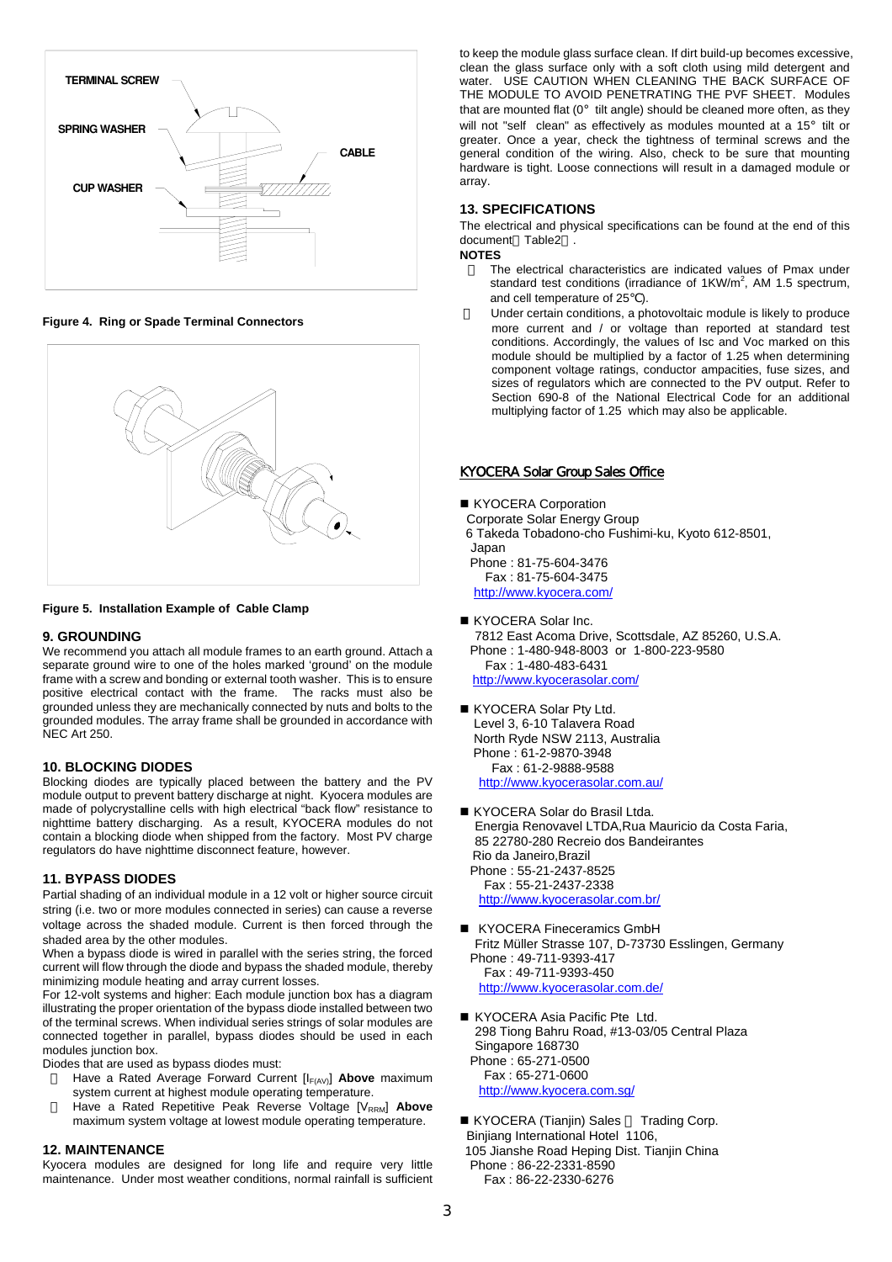

**Figure 4. Ring or Spade Terminal Connectors** 



#### **Figure 5. Installation Example of Cable Clamp**

### **9. GROUNDING**

We recommend you attach all module frames to an earth ground. Attach a separate ground wire to one of the holes marked 'ground' on the module frame with a screw and bonding or external tooth washer. This is to ensure positive electrical contact with the frame. The racks must also be grounded unless they are mechanically connected by nuts and bolts to the grounded modules. The array frame shall be grounded in accordance with NEC Art 250.

#### **10. BLOCKING DIODES**

Blocking diodes are typically placed between the battery and the PV module output to prevent battery discharge at night. Kyocera modules are made of polycrystalline cells with high electrical "back flow" resistance to nighttime battery discharging. As a result, KYOCERA modules do not contain a blocking diode when shipped from the factory. Most PV charge regulators do have nighttime disconnect feature, however.

### **11. BYPASS DIODES**

Partial shading of an individual module in a 12 volt or higher source circuit string (i.e. two or more modules connected in series) can cause a reverse voltage across the shaded module. Current is then forced through the shaded area by the other modules.

When a bypass diode is wired in parallel with the series string, the forced current will flow through the diode and bypass the shaded module, thereby minimizing module heating and array current losses.

For 12-volt systems and higher: Each module junction box has a diagram illustrating the proper orientation of the bypass diode installed between two of the terminal screws. When individual series strings of solar modules are connected together in parallel, bypass diodes should be used in each modules junction box.

Diodes that are used as bypass diodes must:

- Have a Rated Average Forward Current [I<sub>F(AV)</sub>] Above maximum system current at highest module operating temperature.
- Have a Rated Repetitive Peak Reverse Voltage [V<sub>RRM</sub>] Above maximum system voltage at lowest module operating temperature.

#### **12. MAINTENANCE**

Kyocera modules are designed for long life and require very little maintenance. Under most weather conditions, normal rainfall is sufficient to keep the module glass surface clean. If dirt build-up becomes excessive, clean the glass surface only with a soft cloth using mild detergent and water. USE CAUTION WHEN CLEANING THE BACK SURFACE OF THE MODULE TO AVOID PENETRATING THE PVF SHEET. Modules that are mounted flat  $(0^{\circ}$  tilt angle) should be cleaned more often, as they will not "self clean" as effectively as modules mounted at a 15° tilt or greater. Once a year, check the tightness of terminal screws and the general condition of the wiring. Also, check to be sure that mounting hardware is tight. Loose connections will result in a damaged module or array.

#### **13. SPECIFICATIONS**

The electrical and physical specifications can be found at the end of this document Table2 .

# **NOTES**

The electrical characteristics are indicated values of Pmax under standard test conditions (irradiance of  $1KW/m^2$ , AM 1.5 spectrum, and cell temperature of 25 ).

Under certain conditions, a photovoltaic module is likely to produce more current and / or voltage than reported at standard test conditions. Accordingly, the values of Isc and Voc marked on this module should be multiplied by a factor of 1.25 when determining component voltage ratings, conductor ampacities, fuse sizes, and sizes of regulators which are connected to the PV output. Refer to Section 690-8 of the National Electrical Code for an additional multiplying factor of 1.25 which may also be applicable.

### KYOCERA Solar Group Sales Office

# ■ KYOCERA Corporation

Corporate Solar Energy Group

 6 Takeda Tobadono-cho Fushimi-ku, Kyoto 612-8501, Japan

 Phone : 81-75-604-3476 Fax : 81-75-604-3475

http://www.kyocera.com/

KYOCERA Solar Inc.

7812 East Acoma Drive, Scottsdale, AZ 85260, U.S.A. Phone : 1-480-948-8003 or 1-800-223-9580 Fax : 1-480-483-6431 http://www.kyocerasolar.com/

- KYOCERA Solar Pty Ltd. Level 3, 6-10 Talavera Road North Ryde NSW 2113, Australia Phone : 61-2-9870-3948 Fax : 61-2-9888-9588 http://www.kyocerasolar.com.au/
- KYOCERA Solar do Brasil Ltda. Energia Renovavel LTDA,Rua Mauricio da Costa Faria, 85 22780-280 Recreio dos Bandeirantes Rio da Janeiro,Brazil Phone : 55-21-2437-8525 Fax : 55-21-2437-2338 http://www.kyocerasolar.com.br/
- KYOCERA Fineceramics GmbH Fritz Müller Strasse 107, D-73730 Esslingen, Germany Phone : 49-711-9393-417 Fax : 49-711-9393-450 http://www.kyocerasolar.com.de/
- KYOCERA Asia Pacific Pte Ltd. 298 Tiong Bahru Road, #13-03/05 Central Plaza Singapore 168730 Phone : 65-271-0500 Fax : 65-271-0600 http://www.kyocera.com.sg/
- KYOCERA (Tianjin) Sales Trading Corp. Binjiang International Hotel 1106, 105 Jianshe Road Heping Dist. Tianjin China Phone : 86-22-2331-8590 Fax : 86-22-2330-6276